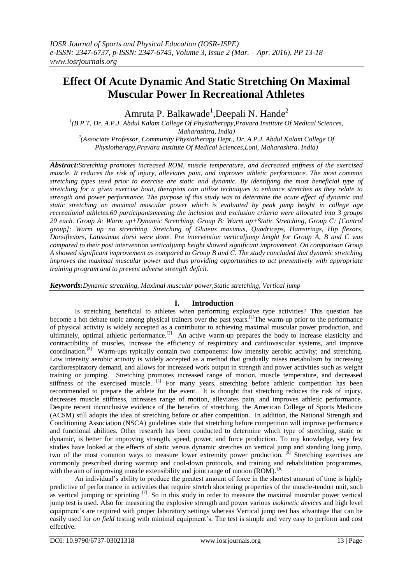# **Effect Of Acute Dynamic And Static Stretching On Maximal Muscular Power In Recreational Athletes**

Amruta P. Balkawade<sup>1</sup>,Deepali N. Hande<sup>2</sup>

<sup>1</sup>(B.P.T, Dr. A.P.J. Abdul Kalam College Of Physiotherapy, Pravara Institute Of Medical Sciences, *Maharashtra, India) 2 (Associate Professor, Community Physiotherapy Dept., Dr. A.P.J. Abdul Kalam College Of Physiotherapy,Pravara Institute Of Medical Sciences,Loni, Maharashtra. India)*

*Abstract:Stretching promotes increased ROM, muscle temperature, and decreased stiffness of the exercised muscle. It reduces the risk of injury, alleviates pain, and improves athletic performance. The most common stretching types used prior to exercise are static and dynamic. By identifying the most beneficial type of stretching for a given exercise bout, therapists can utilize techniques to enhance stretches as they relate to strength and power performance. The purpose of this study was to determine the acute effect of dynamic and static stretching on maximal muscular power which is evaluated by peak jump height in college age recreational athletes.60 participantsmeeting the inclusion and exclusion criteria were allocated into 3 groups 20 each. Group A: Warm up+Dynamic Stretching, Group B: Warm up+Static Stretching, Group C: [Control group]: Warm up+no stretching. Stretching of Gluteus maximus, Quadriceps, Hamstrings, Hip flexors, Dorsiflexors, Latissimus dorsi were done. Pre intervention verticaljump height for Group A, B and C was compared to their post intervention verticaljump height showed significant improvement. On comparison Group A showed significant improvement as compared to Group B and C. The study concluded that dynamic stretching improves the maximal muscular power and thus providing opportunities to act preventively with appropriate training program and to prevent adverse strength deficit.*

*Keywords:Dynamic stretching, Maximal muscular power,Static stretching, Vertical jump*

# **I. Introduction**

Is stretching beneficial to athletes when performing explosive type activities? This question has become a hot debate topic among physical trainers over the past years.<sup>[1]</sup>The warm-up prior to the performance of physical activity is widely accepted as a contributor to achieving maximal muscular power production, and ultimately, optimal athletic performance.<sup>[2]</sup> An active warm-up prepares the body to increase elasticity and contractibility of muscles, increase the efficiency of respiratory and cardiovascular systems, and improve coordination.<sup>[3]</sup> Warm-ups typically contain two components: low intensity aerobic activity; and stretching. Low intensity aerobic activity is widely accepted as a method that gradually raises metabolism by increasing cardiorespiratory demand, and allows for increased work output in strength and power activities such as weight training or jumping. Stretching promotes increased range of motion, muscle temperature, and decreased stiffness of the exercised muscle. <sup>[4]</sup> For many years, stretching before athletic competition has been recommended to prepare the athlete for the event. It is thought that stretching reduces the risk of injury, decreases muscle stiffness, increases range of motion, alleviates pain, and improves athletic performance. Despite recent inconclusive evidence of the benefits of stretching, the American College of Sports Medicine (ACSM) still adopts the idea of stretching before or after competition. In addition, the National Strength and Conditioning Association (NSCA) guidelines state that stretching before competition will improve performance and functional abilities. Other research has been conducted to determine which type of stretching, static or dynamic, is better for improving strength, speed, power, and force production. To my knowledge, very few studies have looked at the effects of static versus dynamic stretches on vertical jump and standing long jump, two of the most common ways to measure lower extremity power production. [5] Stretching exercises are commonly prescribed during warmup and cool-down protocols, and training and rehabilitation programmes, with the aim of improving muscle extensibility and joint range of motion (ROM). <sup>[6]</sup>

An individual's ability to produce the greatest amount of force in the shortest amount of time is highly predictive of performance in activities that require stretch shortening properties of the muscle-tendon unit, such as vertical jumping or sprinting  $[7]$ . So in this study in order to measure the maximal muscular power vertical jump test is used. Also for measuring the explosive strength and power various *isokinetic devices* and high level equipment's are required with proper laboratory settings whereas Vertical jump test has advantage that can be easily used for *on field* testing with minimal equipment's. The test is simple and very easy to perform and cost effective.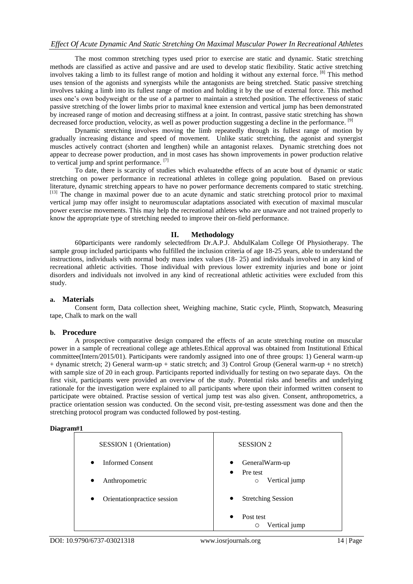The most common stretching types used prior to exercise are static and dynamic. Static stretching methods are classified as active and passive and are used to develop static flexibility. Static active stretching involves taking a limb to its fullest range of motion and holding it without any external force. <sup>[8]</sup> This method uses tension of the agonists and synergists while the antagonists are being stretched. Static passive stretching involves taking a limb into its fullest range of motion and holding it by the use of external force. This method uses one's own bodyweight or the use of a partner to maintain a stretched position. The effectiveness of static passive stretching of the lower limbs prior to maximal knee extension and vertical jump has been demonstrated by increased range of motion and decreasing stiffness at a joint. In contrast, passive static stretching has shown decreased force production, velocity, as well as power production suggesting a decline in the performance. <sup>[9]</sup>

Dynamic stretching involves moving the limb repeatedly through its fullest range of motion by gradually increasing distance and speed of movement. Unlike static stretching, the agonist and synergist muscles actively contract (shorten and lengthen) while an antagonist relaxes. Dynamic stretching does not appear to decrease power production, and in most cases has shown improvements in power production relative to vertical jump and sprint performance. [7]

To date, there is scarcity of studies which evaluatedthe effects of an acute bout of dynamic or static stretching on power performance in recreational athletes in college going population. Based on previous literature, dynamic stretching appears to have no power performance decrements compared to static stretching. [13] The change in maximal power due to an acute dynamic and static stretching protocol prior to maximal vertical jump may offer insight to neuromuscular adaptations associated with execution of maximal muscular power exercise movements. This may help the recreational athletes who are unaware and not trained properly to know the appropriate type of stretching needed to improve their on-field performance.

# **II. Methodology**

60participants were randomly selectedfrom Dr.A.P.J. AbdulKalam College Of Physiotherapy. The sample group included participants who fulfilled the inclusion criteria of age 18-25 years, able to understand the instructions, individuals with normal body mass index values (18- 25) and individuals involved in any kind of recreational athletic activities. Those individual with previous lower extremity injuries and bone or joint disorders and individuals not involved in any kind of recreational athletic activities were excluded from this study.

# **a. Materials**

Consent form, Data collection sheet, Weighing machine, Static cycle, Plinth, Stopwatch, Measuring tape, Chalk to mark on the wall

#### **b. Procedure**

A prospective comparative design compared the effects of an acute stretching routine on muscular power in a sample of recreational college age athletes.Ethical approval was obtained from Institutional Ethical committee(Intern/2015/01). Participants were randomly assigned into one of three groups: 1) General warm-up + dynamic stretch; 2) General warm-up + static stretch; and 3) Control Group (General warm-up + no stretch) with sample size of 20 in each group. Participants reported individually for testing on two separate days. On the first visit, participants were provided an overview of the study. Potential risks and benefits and underlying rationale for the investigation were explained to all participants where upon their informed written consent to participate were obtained. Practise session of vertical jump test was also given. Consent, anthropometrics, a practice orientation session was conducted. On the second visit, pre-testing assessment was done and then the stretching protocol program was conducted followed by post-testing.

## **Diagram#1**

| <b>SESSION 1 (Orientation)</b>           | <b>SESSION 2</b>                        |  |
|------------------------------------------|-----------------------------------------|--|
| <b>Informed Consent</b><br>$\bullet$     | GeneralWarm-up<br>٠<br>Pre test<br>٠    |  |
| Anthropometric<br>$\bullet$              | Vertical jump<br>$\circ$                |  |
| Orientationpractice session<br>$\bullet$ | <b>Stretching Session</b><br>$\bullet$  |  |
|                                          | Post test<br>$\bullet$<br>Vertical jump |  |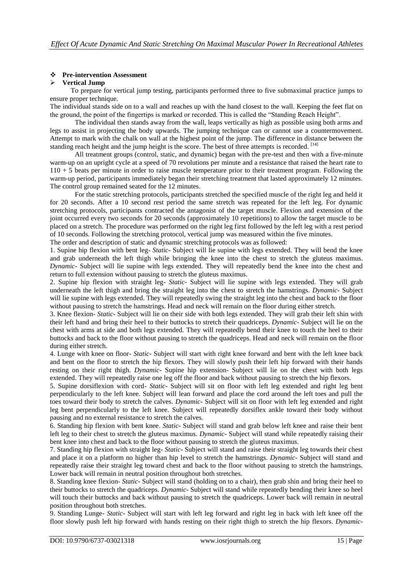# **Pre-intervention Assessment**

### **Vertical Jump**

 To prepare for vertical jump testing, participants performed three to five submaximal practice jumps to ensure proper technique.

The individual stands side on to a wall and reaches up with the hand closest to the wall. Keeping the feet flat on the ground, the point of the fingertips is marked or recorded. This is called the "Standing Reach Height".

The individual then stands away from the wall, leaps vertically as high as possible using both arms and legs to assist in projecting the body upwards. The jumping technique can or cannot use a countermovement. Attempt to mark with the chalk on wall at the highest point of the jump. The difference in distance between the standing reach height and the jump height is the score. The best of three attempts is recorded. [14]

All treatment groups (control, static, and dynamic) began with the pre-test and then with a five-minute warm-up on an upright cycle at a speed of 70 revolutions per minute and a resistance that raised the heart rate to 110 + 5 beats per minute in order to raise muscle temperature prior to their treatment program. Following the warm-up period, participants immediately began their stretching treatment that lasted approximately 12 minutes. The control group remained seated for the 12 minutes.

For the static stretching protocols, participants stretched the specified muscle of the right leg and held it for 20 seconds. After a 10 second rest period the same stretch was repeated for the left leg. For dynamic stretching protocols, participants contracted the antagonist of the target muscle. Flexion and extension of the joint occurred every two seconds for 20 seconds (approximately 10 repetitions) to allow the target muscle to be placed on a stretch. The procedure was performed on the right leg first followed by the left leg with a rest period of 10 seconds. Following the stretching protocol, vertical jump was measured within the five minutes.

The order and description of static and dynamic stretching protocols was as followed:

1. Supine hip flexion with bent leg- *Static*- Subject will lie supine with legs extended. They will bend the knee and grab underneath the left thigh while bringing the knee into the chest to stretch the gluteus maximus. *Dynamic*- Subject will lie supine with legs extended. They will repeatedly bend the knee into the chest and return to full extension without pausing to stretch the gluteus maximus.

2. Supine hip flexion with straight leg- *Static*- Subject will lie supine with legs extended. They will grab underneath the left thigh and bring the straight leg into the chest to stretch the hamstrings. *Dynamic*- Subject will lie supine with legs extended. They will repeatedly swing the straight leg into the chest and back to the floor without pausing to stretch the hamstrings. Head and neck will remain on the floor during either stretch.

3. Knee flexion- *Static*- Subject will lie on their side with both legs extended. They will grab their left shin with their left hand and bring their heel to their buttocks to stretch their quadriceps. *Dynamic*- Subject will lie on the chest with arms at side and both legs extended. They will repeatedly bend their knee to touch the heel to their buttocks and back to the floor without pausing to stretch the quadriceps. Head and neck will remain on the floor during either stretch.

4. Lunge with knee on floor- *Static*- Subject will start with right knee forward and bent with the left knee back and bent on the floor to stretch the hip flexors. They will slowly push their left hip forward with their hands resting on their right thigh. *Dynamic*- Supine hip extension- Subject will lie on the chest with both legs extended. They will repeatedly raise one leg off the floor and back without pausing to stretch the hip flexors.

5. Supine dorsiflexion with cord- *Static*- Subject will sit on floor with left leg extended and right leg bent perpendicularly to the left knee. Subject will lean forward and place the cord around the left toes and pull the toes toward their body to stretch the calves. *Dynamic*- Subject will sit on floor with left leg extended and right leg bent perpendicularly to the left knee. Subject will repeatedly dorsiflex ankle toward their body without pausing and no external resistance to stretch the calves.

6. Standing hip flexion with bent knee. *Static*- Subject will stand and grab below left knee and raise their bent left leg to their chest to stretch the gluteus maximus. *Dynamic*- Subject will stand while repeatedly raising their bent knee into chest and back to the floor without pausing to stretch the gluteus maximus.

7. Standing hip flexion with straight leg- *Static*- Subject will stand and raise their straight leg towards their chest and place it on a platform no higher than hip level to stretch the hamstrings. *Dynamic*- Subject will stand and repeatedly raise their straight leg toward chest and back to the floor without pausing to stretch the hamstrings. Lower back will remain in neutral position throughout both stretches.

8. Standing knee flexion- *Static*- Subject will stand (holding on to a chair), then grab shin and bring their heel to their buttocks to stretch the quadriceps. *Dynamic*- Subject will stand while repeatedly bending their knee so heel will touch their buttocks and back without pausing to stretch the quadriceps. Lower back will remain in neutral position throughout both stretches.

9. Standing Lunge- *Static*- Subject will start with left leg forward and right leg in back with left knee off the floor slowly push left hip forward with hands resting on their right thigh to stretch the hip flexors. *Dynamic*-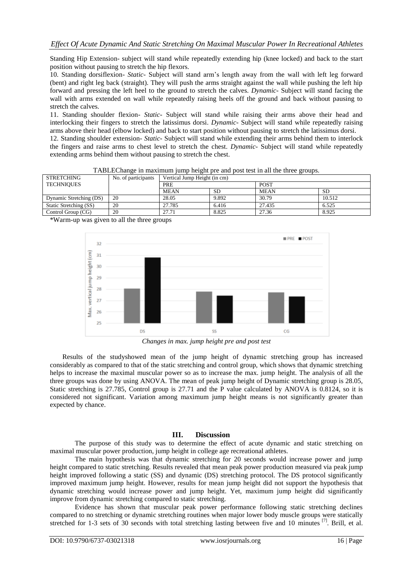Standing Hip Extension- subject will stand while repeatedly extending hip (knee locked) and back to the start position without pausing to stretch the hip flexors.

10. Standing dorsiflexion- *Static*- Subject will stand arm's length away from the wall with left leg forward (bent) and right leg back (straight). They will push the arms straight against the wall while pushing the left hip forward and pressing the left heel to the ground to stretch the calves. *Dynamic*- Subject will stand facing the wall with arms extended on wall while repeatedly raising heels off the ground and back without pausing to stretch the calves.

11. Standing shoulder flexion- *Static*- Subject will stand while raising their arms above their head and interlocking their fingers to stretch the latissimus dorsi. *Dynamic*- Subject will stand while repeatedly raising arms above their head (elbow locked) and back to start position without pausing to stretch the latissimus dorsi.

12. Standing shoulder extension- *Static*- Subject will stand while extending their arms behind them to interlock the fingers and raise arms to chest level to stretch the chest. *Dynamic*- Subject will stand while repeatedly extending arms behind them without pausing to stretch the chest.

| <b>STRETCHING</b>       | No. of participants | Vertical Jump Height (in cm) |           |             |           |  |
|-------------------------|---------------------|------------------------------|-----------|-------------|-----------|--|
| TECHNIQUES              |                     | <b>PRE</b>                   |           | <b>POST</b> |           |  |
|                         |                     | <b>MEAN</b>                  | <b>SD</b> | <b>MEAN</b> | <b>SD</b> |  |
| Dynamic Stretching (DS) | 20                  | 28.05                        | 9.892     | 30.79       | 10.512    |  |
| Static Stretching (SS)  | 20                  | 27.785                       | 6.416     | 27.435      | 6.525     |  |
| Control Group (CG)      | 20                  | 27.71                        | 8.825     | 27.36       | 8.925     |  |

TABLEChange in maximum jump height pre and post test in all the three groups.

\*Warm-up was given to all the three groups



*Changes in max. jump height pre and post test*

Results of the studyshowed mean of the jump height of dynamic stretching group has increased considerably as compared to that of the static stretching and control group, which shows that dynamic stretching helps to increase the maximal muscular power so as to increase the max. jump height. The analysis of all the three groups was done by using ANOVA. The mean of peak jump height of Dynamic stretching group is 28.05, Static stretching is 27.785, Control group is 27.71 and the P value calculated by ANOVA is 0.8124, so it is considered not significant. Variation among maximum jump height means is not significantly greater than expected by chance.

#### **III. Discussion**

The purpose of this study was to determine the effect of acute dynamic and static stretching on maximal muscular power production, jump height in college age recreational athletes.

The main hypothesis was that dynamic stretching for 20 seconds would increase power and jump height compared to static stretching. Results revealed that mean peak power production measured via peak jump height improved following a static (SS) and dynamic (DS) stretching protocol. The DS protocol significantly improved maximum jump height. However, results for mean jump height did not support the hypothesis that dynamic stretching would increase power and jump height. Yet, maximum jump height did significantly improve from dynamic stretching compared to static stretching.

Evidence has shown that muscular peak power performance following static stretching declines compared to no stretching or dynamic stretching routines when major lower body muscle groups were statically stretched for 1-3 sets of 30 seconds with total stretching lasting between five and 10 minutes [7]. Brill, et al.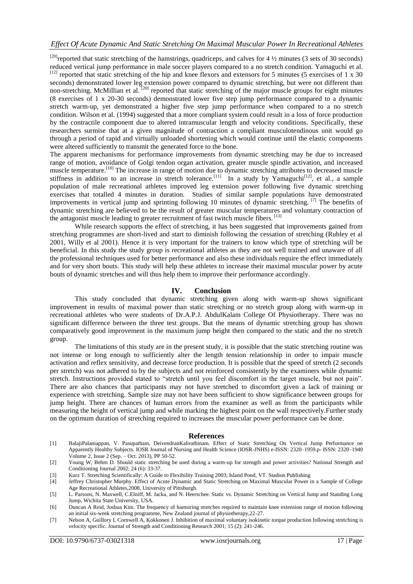[20] reported that static stretching of the hamstrings, quadriceps, and calves for 4  $\frac{1}{2}$  minutes (3 sets of 30 seconds) reduced vertical jump performance in male soccer players compared to a no stretch condition. Yamaguchi et al.  $^{[12]}$  reported that static stretching of the hip and knee flexors and extensors for 5 minutes (5 exercises of 1 x 30) seconds) demonstrated lower leg extension power compared to dynamic stretching, but were not different than non-stretching. McMillian et al.  $^{[20]}$  reported that static stretching of the major muscle groups for eight minutes (8 exercises of 1 x 20-30 seconds) demonstrated lower five step jump performance compared to a dynamic stretch warm-up, yet demonstrated a higher five step jump performance when compared to a no stretch condition. Wilson et al. (1994) suggested that a more compliant system could result in a loss of force production by the contractile component due to altered intramuscular length and velocity conditions. Specifically, these researchers surmise that at a given magnitude of contraction a compliant musculotendinous unit would go through a period of rapid and virtually unloaded shortening which would continue until the elastic components were altered sufficiently to transmit the generated force to the bone.

The apparent mechanisms for performance improvements from dynamic stretching may be due to increased range of motion, avoidance of Golgi tendon organ activation, greater muscle spindle activation, and increased muscle temperature.<sup>[10]</sup> The increase in range of motion due to dynamic stretching attributes to decreased muscle stiffness in addition to an increase in stretch tolerance.<sup>[11]</sup> In a study by Yamaguchi<sup>[12]</sup>, et al., a sample population of male recreational athletes improved leg extension power following five dynamic stretching exercises that totalled 4 minutes in duration. Studies of similar sample populations have demonstrated improvements in vertical jump and sprinting following 10 minutes of dynamic stretching. [7] The benefits of dynamic stretching are believed to be the result of greater muscular temperatures and voluntary contraction of the antagonist muscle leading to greater recruitment of fast twitch muscle fibers. [13]

While research supports the effect of stretching, it has been suggested that improvements gained from stretching programmes are short-lived and start to diminish following the cessation of stretching (Rubley et al 2001, Willy et al 2001). Hence it is very important for the trainers to know which type of stretching will be beneficial. In this study the study group is recreational athletes as they are not well trained and unaware of all the professional techniques used for better performance and also these individuals require the effect immediately and for very short bouts. This study will help these athletes to increase their maximal muscular power by acute bouts of dynamic stretches and will thus help them to improve their performance accordingly.

### **IV. Conclusion**

This study concluded that dynamic stretching given along with warm-up shows significant improvement in results of maximal power than static stretching or no stretch group along with warm-up in recreational athletes who were students of Dr.A.P.J. AbdulKalam College Of Physiotherapy. There was no significant difference between the three test groups. But the means of dynamic stretching group has shown comparatively good improvement in the maximum jump height then compared to the static and the no stretch group.

The limitations of this study are in the present study, it is possible that the static stretching routine was not intense or long enough to sufficiently alter the length tension relationship in order to impair muscle activation and reflex sensitivity, and decrease force production. It is possible that the speed of stretch (2 seconds per stretch) was not adhered to by the subjects and not reinforced consistently by the examiners while dynamic stretch. Instructions provided stated to "stretch until you feel discomfort in the target muscle, but not pain". There are also chances that participants may not have stretched to discomfort given a lack of training or experience with stretching. Sample size may not have been sufficient to show significance between groups for jump height. There are chances of human errors from the examiner as well as from the participants while measuring the height of vertical jump and while marking the highest point on the wall respectively.Further study on the optimum duration of stretching required to increases the muscular power performance can be done.

#### **References**

[1] BalajiPalaniappan, V. Pasupatham, DeivendranKalirathinam. Effect of Static Stretching On Vertical Jump Performance on Apparently Healthy Subjects. IOSR Journal of Nursing and Health Science (IOSR-JNHS) e-ISSN: 2320–1959.p- ISSN: 2320–1940 Volume 2, Issue 2 (Sep. – Oct. 2013), PP 50-52.

[2] Young W, Behm D. Should static stretching be used during a warm-up for strength and power activities? National Strength and Conditioning Journal 2002; 24 (6): 33-37.

- [3] Kurz T. Stretching Scientifically: A Guide to Flexibility Training 2003; Island Pond, VT. Stadion Publishing
- [4] Jeffrey Christopher Murphy. Effect of Acute Dynamic and Static Stretching on Maximal Muscular Power in a Sample of College Age Recreational Athletes,2008, University of Pittsburgh.
- [5] L. Parsons, N. Maxwell, C.Elniff, M. Jacka, and N. Heerschee. Static vs. Dynamic Stretching on Vertical Jump and Standing Long Jump, Wichita State University, USA.
- [6] Duncan A Reid, Joshua Kim. The frequency of hamstring stretches required to maintain knee extension range of motion following an initial six-week stretching programme, New Zealand journal of physiotherapy,22-27.
- [7] Nelson A, Guillory I, Cornwell A, Kokkonen J. Inhibition of maximal voluntary isokinetic torque production following stretching is velocity specific. Journal of Strength and Conditioning Research 2001; 15 (2): 241-246.